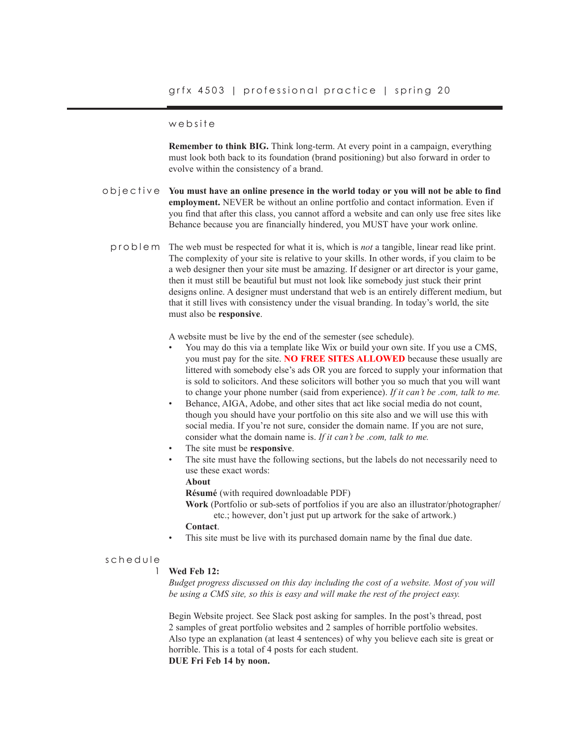### website

**Remember to think BIG.** Think long-term. At every point in a campaign, everything must look both back to its foundation (brand positioning) but also forward in order to evolve within the consistency of a brand.

- **You must have an online presence in the world today or you will not be able to find**  objective **employment.** NEVER be without an online portfolio and contact information. Even if you find that after this class, you cannot afford a website and can only use free sites like Behance because you are financially hindered, you MUST have your work online.
	- The web must be respected for what it is, which is *not* a tangible, linear read like print. The complexity of your site is relative to your skills. In other words, if you claim to be a web designer then your site must be amazing. If designer or art director is your game, then it must still be beautiful but must not look like somebody just stuck their print designs online. A designer must understand that web is an entirely different medium, but that it still lives with consistency under the visual branding. In today's world, the site must also be **responsive**. problem

A website must be live by the end of the semester (see schedule).

- You may do this via a template like Wix or build your own site. If you use a CMS, you must pay for the site. **NO FREE SITES ALLOWED** because these usually are littered with somebody else's ads OR you are forced to supply your information that is sold to solicitors. And these solicitors will bother you so much that you will want to change your phone number (said from experience). *If it can't be .com, talk to me.*
- Behance, AIGA, Adobe, and other sites that act like social media do not count, though you should have your portfolio on this site also and we will use this with social media. If you're not sure, consider the domain name. If you are not sure, consider what the domain name is. *If it can't be .com, talk to me.*
- The site must be **responsive**.
- The site must have the following sections, but the labels do not necessarily need to use these exact words:

### **About**

**Résumé** (with required downloadable PDF)

**Work** (Portfolio or sub-sets of portfolios if you are also an illustrator/photographer/ etc.; however, don't just put up artwork for the sake of artwork.)

### **Contact**.

• This site must be live with its purchased domain name by the final due date.

## schedule

1

#### **Wed Feb 12:**

*Budget progress discussed on this day including the cost of a website. Most of you will be using a CMS site, so this is easy and will make the rest of the project easy.* 

Begin Website project. See Slack post asking for samples. In the post's thread, post 2 samples of great portfolio websites and 2 samples of horrible portfolio websites. Also type an explanation (at least 4 sentences) of why you believe each site is great or horrible. This is a total of 4 posts for each student. **DUE Fri Feb 14 by noon.**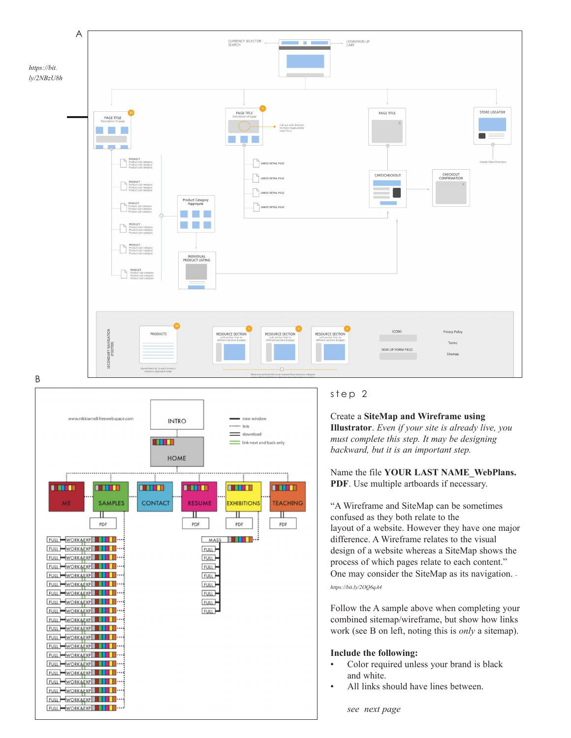





# step 2

Create a **SiteMap and Wireframe using Illustrator**. *Even if your site is already live, you must complete this step. It may be designing backward, but it is an important step.*

Name the file **YOUR LAST NAME\_WebPlans. PDF**. Use multiple artboards if necessary.

"A Wireframe and SiteMap can be sometimes confused as they both relate to the layout of a website. However they have one major difference. A Wireframe relates to the visual design of a website whereas a SiteMap shows the process of which pages relate to each content." One may consider the SiteMap as its navigation.  *https://bit.ly/2OQ6qA4*

Follow the A sample above when completing your combined sitemap/wireframe, but show how links work (see B on left, noting this is *only* a sitemap).

## **Include the following:**

- Color required unless your brand is black and white.
- All links should have lines between.

*see next page*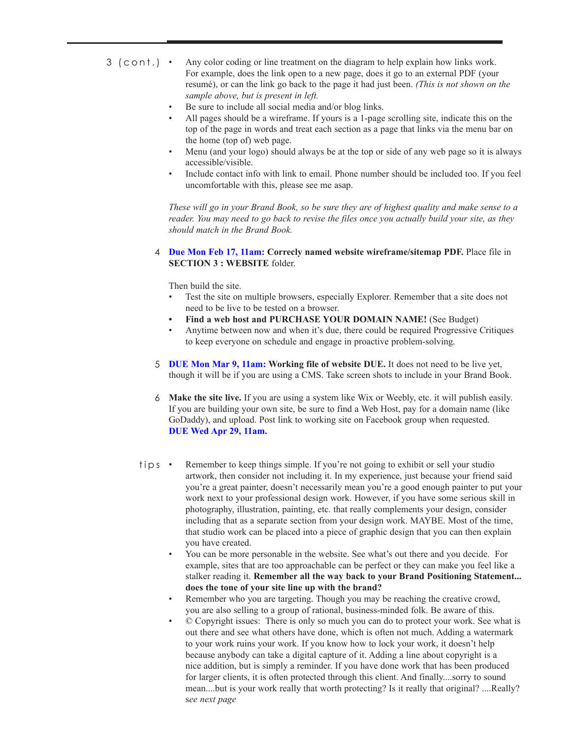- Any color coding or line treatment on the diagram to help explain how links work. For example, does the link open to a new page, does it go to an external PDF (your resumé), or can the link go back to the page it had just been. *(This is not shown on the sample above, but is present in left.*  $3 (cont.)$   $\cdot$ 
	- Be sure to include all social media and/or blog links.
	- All pages should be a wireframe. If yours is a 1-page scrolling site, indicate this on the top of the page in words and treat each section as a page that links via the menu bar on the home (top of) web page.
	- Menu (and your logo) should always be at the top or side of any web page so it is always accessible/visible.
	- Include contact info with link to email. Phone number should be included too. If you feel uncomfortable with this, please see me asap.

*These will go in your Brand Book, so be sure they are of highest quality and make sense to a reader. You may need to go back to revise the files once you actually build your site, as they should match in the Brand Book.*

## **Due Mon Feb 17, 11am: Correcly named website wireframe/sitemap PDF.** Place file in 4 **SECTION 3 : WEBSITE** folder.

Then build the site.

- Test the site on multiple browsers, especially Explorer. Remember that a site does not need to be live to be tested on a browser.
- **• Find a web host and PURCHASE YOUR DOMAIN NAME!** (See Budget)
- Anytime between now and when it's due, there could be required Progressive Critiques to keep everyone on schedule and engage in proactive problem-solving.
- 5 **DUE Mon Mar 9, 11am: Working file of website DUE.** It does not need to be live yet, though it will be if you are using a CMS. Take screen shots to include in your Brand Book.
- **Make the site live.** If you are using a system like Wix or Weebly, etc. it will publish easily. 6 If you are building your own site, be sure to find a Web Host, pay for a domain name (like GoDaddy), and upload. Post link to working site on Facebook group when requested. **DUE Wed Apr 29, 11am.**
- Remember to keep things simple. If you're not going to exhibit or sell your studio artwork, then consider not including it. In my experience, just because your friend said you're a great painter, doesn't necessarily mean you're a good enough painter to put your work next to your professional design work. However, if you have some serious skill in photography, illustration, painting, etc. that really complements your design, consider including that as a separate section from your design work. MAYBE. Most of the time, that studio work can be placed into a piece of graphic design that you can then explain you have created. tips
	- You can be more personable in the website. See what's out there and you decide. For example, sites that are too approachable can be perfect or they can make you feel like a stalker reading it. **Remember all the way back to your Brand Positioning Statement... does the tone of your site line up with the brand?**
	- Remember who you are targeting. Though you may be reaching the creative crowd, you are also selling to a group of rational, business-minded folk. Be aware of this.
	- © Copyright issues: There is only so much you can do to protect your work. See what is out there and see what others have done, which is often not much. Adding a watermark to your work ruins your work. If you know how to lock your work, it doesn't help because anybody can take a digital capture of it. Adding a line about copyright is a nice addition, but is simply a reminder. If you have done work that has been produced for larger clients, it is often protected through this client. And finally....sorry to sound mean....but is your work really that worth protecting? Is it really that original? ....Really? s*ee next page*